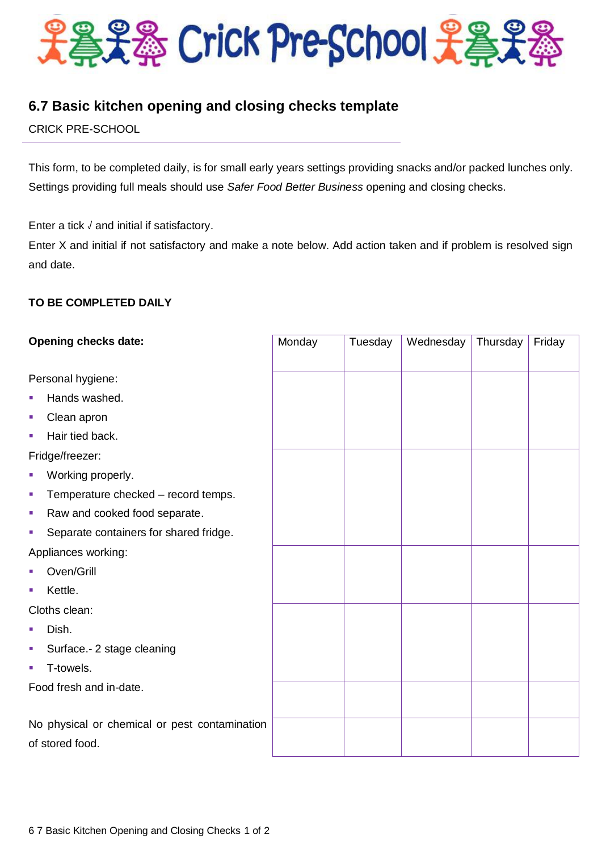

# **6.7 Basic kitchen opening and closing checks template**

CRICK PRE-SCHOOL

This form, to be completed daily, is for small early years settings providing snacks and/or packed lunches only. Settings providing full meals should use *Safer Food Better Business* opening and closing checks.

Enter a tick √ and initial if satisfactory.

Enter X and initial if not satisfactory and make a note below. Add action taken and if problem is resolved sign and date.

## **TO BE COMPLETED DAILY**

| <b>Opening checks date:</b>                   | Monday | Tuesday | Wednesday | Thursday | Friday |
|-----------------------------------------------|--------|---------|-----------|----------|--------|
|                                               |        |         |           |          |        |
| Personal hygiene:                             |        |         |           |          |        |
| Hands washed.<br>T,                           |        |         |           |          |        |
| Clean apron<br>×                              |        |         |           |          |        |
| Hair tied back.<br>×                          |        |         |           |          |        |
| Fridge/freezer:                               |        |         |           |          |        |
| Working properly.<br>×                        |        |         |           |          |        |
| Temperature checked - record temps.<br>I.     |        |         |           |          |        |
| Raw and cooked food separate.<br>I.           |        |         |           |          |        |
| Separate containers for shared fridge.<br>×   |        |         |           |          |        |
| Appliances working:                           |        |         |           |          |        |
| Oven/Grill                                    |        |         |           |          |        |
| Kettle.<br>×                                  |        |         |           |          |        |
| Cloths clean:                                 |        |         |           |          |        |
| Dish.                                         |        |         |           |          |        |
| Surface .- 2 stage cleaning<br>×              |        |         |           |          |        |
| T-towels.<br>×.                               |        |         |           |          |        |
| Food fresh and in-date.                       |        |         |           |          |        |
|                                               |        |         |           |          |        |
| No physical or chemical or pest contamination |        |         |           |          |        |
| of stored food.                               |        |         |           |          |        |